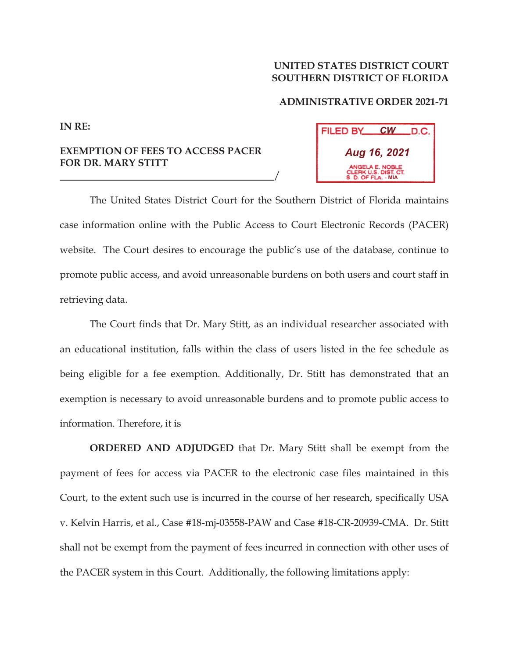## **UNITED STATES DISTRICT COURT SOUTHERN DISTRICT OF FLORIDA**

## **ADMINISTRATIVE ORDER 2021-71**

**IN RE:**

## **EXEMPTION OF FEES TO ACCESS PACER FOR DR. MARY STITT**

<u>/</u>

*CW* FILED BY\_ .D.C. *Aug 16, 2021* **ERK U.S. DIST CT MIA**

 The United States District Court for the Southern District of Florida maintains case information online with the Public Access to Court Electronic Records (PACER) website. The Court desires to encourage the public's use of the database, continue to promote public access, and avoid unreasonable burdens on both users and court staff in retrieving data.

 The Court finds that Dr. Mary Stitt, as an individual researcher associated with an educational institution, falls within the class of users listed in the fee schedule as being eligible for a fee exemption. Additionally, Dr. Stitt has demonstrated that an exemption is necessary to avoid unreasonable burdens and to promote public access to information. Therefore, it is

**ORDERED AND ADJUDGED** that Dr. Mary Stitt shall be exempt from the payment of fees for access via PACER to the electronic case files maintained in this Court, to the extent such use is incurred in the course of her research, specifically USA v. Kelvin Harris, et al., Case #18-mj-03558-PAW and Case #18-CR-20939-CMA. Dr. Stitt shall not be exempt from the payment of fees incurred in connection with other uses of the PACER system in this Court. Additionally, the following limitations apply: